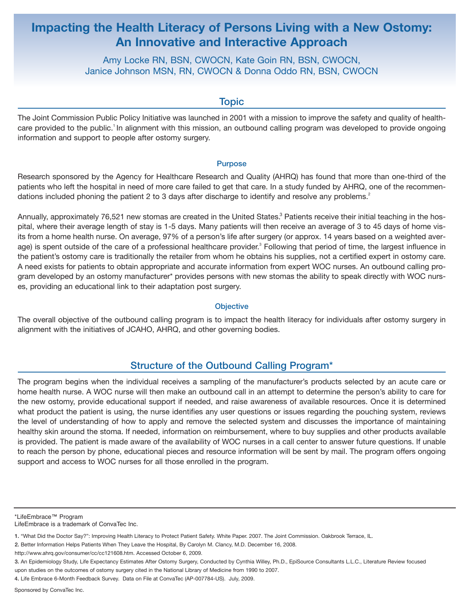# **Impacting the Health Literacy of Persons Living with a New Ostomy: An Innovative and Interactive Approach**

Amy Locke RN, BSN, CWOCN, Kate Goin RN, BSN, CWOCN, Janice Johnson MSN, RN, CWOCN & Donna Oddo RN, BSN, CWOCN

## **Topic**

The Joint Commission Public Policy Initiative was launched in 2001 with a mission to improve the safety and quality of healthcare provided to the public.<sup>1</sup> In alignment with this mission, an outbound calling program was developed to provide ongoing information and support to people after ostomy surgery.

#### Purpose

Research sponsored by the Agency for Healthcare Research and Quality (AHRQ) has found that more than one-third of the patients who left the hospital in need of more care failed to get that care. In a study funded by AHRQ, one of the recommendations included phoning the patient 2 to 3 days after discharge to identify and resolve any problems.<sup>2</sup>

Annually, approximately 76,521 new stomas are created in the United States.<sup>3</sup> Patients receive their initial teaching in the hospital, where their average length of stay is 1-5 days. Many patients will then receive an average of 3 to 45 days of home visits from a home health nurse. On average, 97% of a person's life after surgery (or approx. 14 years based on a weighted average) is spent outside of the care of a professional healthcare provider.<sup>3</sup> Following that period of time, the largest influence in the patient's ostomy care is traditionally the retailer from whom he obtains his supplies, not a certified expert in ostomy care. A need exists for patients to obtain appropriate and accurate information from expert WOC nurses. An outbound calling program developed by an ostomy manufacturer\* provides persons with new stomas the ability to speak directly with WOC nurses, providing an educational link to their adaptation post surgery.

## **Objective**

The overall objective of the outbound calling program is to impact the health literacy for individuals after ostomy surgery in alignment with the initiatives of JCAHO, AHRQ, and other governing bodies.

## Structure of the Outbound Calling Program\*

The program begins when the individual receives a sampling of the manufacturer's products selected by an acute care or home health nurse. A WOC nurse will then make an outbound call in an attempt to determine the person's ability to care for the new ostomy, provide educational support if needed, and raise awareness of available resources. Once it is determined what product the patient is using, the nurse identifies any user questions or issues regarding the pouching system, reviews the level of understanding of how to apply and remove the selected system and discusses the importance of maintaining healthy skin around the stoma. If needed, information on reimbursement, where to buy supplies and other products available is provided. The patient is made aware of the availability of WOC nurses in a call center to answer future questions. If unable to reach the person by phone, educational pieces and resource information will be sent by mail. The program offers ongoing support and access to WOC nurses for all those enrolled in the program.

http://www.ahrq.gov/consumer/cc/cc121608.htm. Accessed October 6, 2009.

<sup>\*</sup>LifeEmbrace™ Program

LifeEmbrace is a trademark of ConvaTec Inc.

<sup>1.</sup> "What Did the Doctor Say?": Improving Health Literacy to Protect Patient Safety. White Paper. 2007. The Joint Commission. Oakbrook Terrace, IL.

<sup>2.</sup> Better Information Helps Patients When They Leave the Hospital, By Carolyn M. Clancy, M.D. December 16, 2008.

<sup>3.</sup> An Epidemiology Study, Life Expectancy Estimates After Ostomy Surgery, Conducted by Cynthia Willey, Ph.D., EpiSource Consultants L.L.C., Literature Review focused upon studies on the outcomes of ostomy surgery cited in the National Library of Medicine from 1990 to 2007.

<sup>4.</sup> Life Embrace 6-Month Feedback Survey. Data on File at ConvaTec (AP-007784-US). July, 2009.